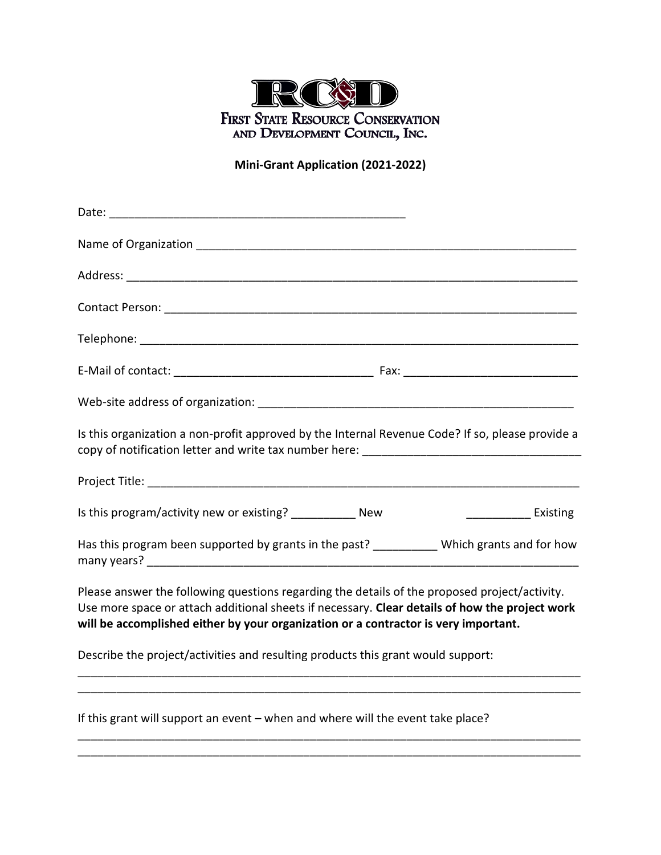

## **Mini-Grant Application (2021-2022)**

| Is this organization a non-profit approved by the Internal Revenue Code? If so, please provide a                                                                                                                                                                                       |                        |
|----------------------------------------------------------------------------------------------------------------------------------------------------------------------------------------------------------------------------------------------------------------------------------------|------------------------|
|                                                                                                                                                                                                                                                                                        |                        |
| Is this program/activity new or existing? ____________ New                                                                                                                                                                                                                             | $\frac{1}{2}$ Existing |
| Has this program been supported by grants in the past? ___________ Which grants and for how                                                                                                                                                                                            |                        |
| Please answer the following questions regarding the details of the proposed project/activity.<br>Use more space or attach additional sheets if necessary. Clear details of how the project work<br>will be accomplished either by your organization or a contractor is very important. |                        |
| Describe the project/activities and resulting products this grant would support:                                                                                                                                                                                                       |                        |

\_\_\_\_\_\_\_\_\_\_\_\_\_\_\_\_\_\_\_\_\_\_\_\_\_\_\_\_\_\_\_\_\_\_\_\_\_\_\_\_\_\_\_\_\_\_\_\_\_\_\_\_\_\_\_\_\_\_\_\_\_\_\_\_\_\_\_\_\_\_\_\_\_\_\_\_\_\_

\_\_\_\_\_\_\_\_\_\_\_\_\_\_\_\_\_\_\_\_\_\_\_\_\_\_\_\_\_\_\_\_\_\_\_\_\_\_\_\_\_\_\_\_\_\_\_\_\_\_\_\_\_\_\_\_\_\_\_\_\_\_\_\_\_\_\_\_\_\_\_\_\_\_\_\_\_\_ \_\_\_\_\_\_\_\_\_\_\_\_\_\_\_\_\_\_\_\_\_\_\_\_\_\_\_\_\_\_\_\_\_\_\_\_\_\_\_\_\_\_\_\_\_\_\_\_\_\_\_\_\_\_\_\_\_\_\_\_\_\_\_\_\_\_\_\_\_\_\_\_\_\_\_\_\_\_

If this grant will support an event – when and where will the event take place?